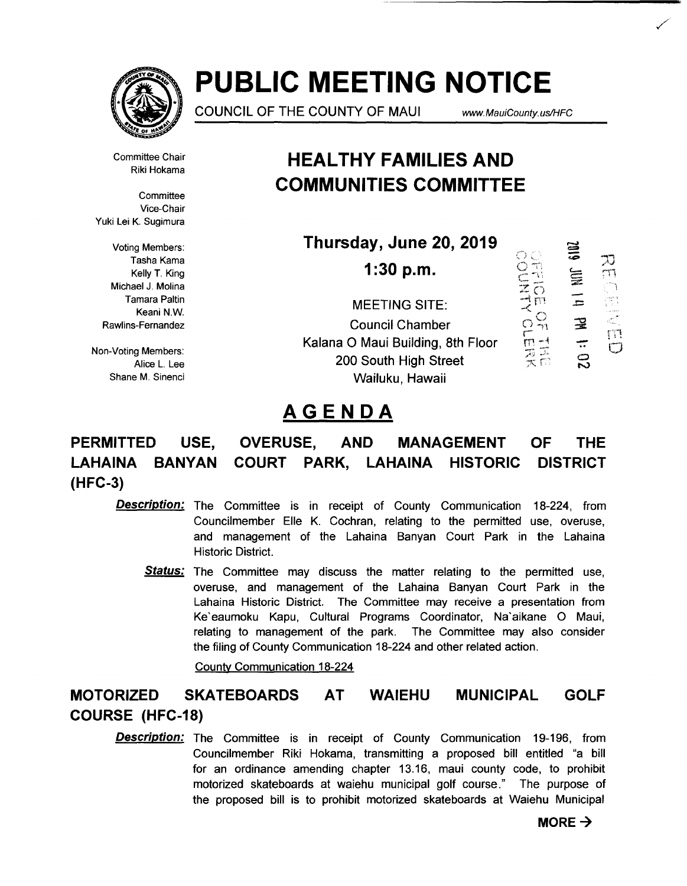

# **PUBLIC MEETING NOTICE**

COUNCIL OF THE COUNTY OF MAUl www.MauiCounty. us/HFC

 $\sim$   $\Xi$ 

 $\overline{C}$ 

/

Committee Chair Riki Hokama

**Committee** Vice-Chair Yuki Lei K. Sugimura

Voting Members: Kelly T. King Michael J. Molina Tamara Paltin Keani N.W. Rawlins-Fernandez

Non-Voting Members: Alice L. Lee Shane M. Sinenci

## **HEAL THY FAMILIES AND COMMUNITIES COMMITTEE**

Tasha Kama - **Thursday, June 20, 2019** 

**1:30 p.m.**  ) A MHACH<br>
- M MHACH<br>
- M MHACH<br>
- MHACH<br>
- MHACH<br>
- MHACH<br>
- MHACH<br>
- MHACH<br>
- MHACH<br>
- MHACH<br>
- MHACH<br>
- MHACH<br>
- MHACH<br>
- MHACH<br>
- MHACH<br>
- MHACH<br>
- MHACH<br>
- MHACH<br>
- MHACH<br>
- MHACH<br>
- MHACH<br>
- MHACH<br>
- MHACH<br>
- MHACH<br> MEETING SITE: Council Chamber Kalana 0 Maui Building, 8th Floor 200 South High Street Wailuku, Hawaii  $\tilde{z}$  ...  $\hat{P}_{\text{max}}^{\text{Q}}$  = rn -~ -.. .. ~···> 0 7( r-· ~, I• N 15<br>10<br>10<br>10

## **AGENDA**

### **OVERUSE, AND MANAGEMENT PERMITTED USE, OF THE LAHAINA BANYAN (HFC-3) COURT PARK, LAHAINA HISTORIC DISTRICT**

- **Description:** The Committee is in receipt of County Communication 18-224, from Councilmember Elle K. Cochran, relating to the permitted use, overuse, and management of the Lahaina Banyan Court Park in the Lahaina Historic District.
	- **Status:** The Committee may discuss the matter relating to the permitted use, overuse, and management of the Lahaina Banyan Court Park in the Lahaina Historic District. The Committee may receive a presentation from Ke'eaumoku Kapu, Cultural Programs Coordinator, Na'aikane 0 Maui, relating to management of the park. The Committee may also consider the filing of County Communication 18-224 and other related action.

Countv Communication 18-224

### **MOTORIZED SKATEBOARDS AT WAIEHU MUNICIPAL GOLF COURSE (HFC-18)**

**Description:** The Committee is in receipt of County Communication 19-196, from Councilmember Riki Hokama, transmitting a proposed bill entitled "a bill for an ordinance amending chapter 13.16, maui county code, to prohibit motorized skateboards at waiehu municipal golf course." The purpose of the proposed bill is to prohibit motorized skateboards at Waiehu Municipal